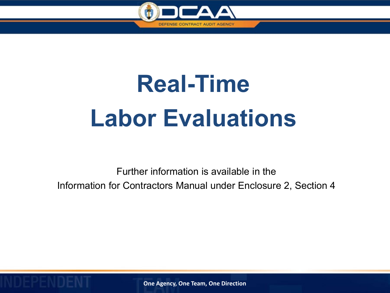

# **Real-Time Labor Evaluations**

Further information is available in the Information for Contractors Manual under Enclosure 2, Section 4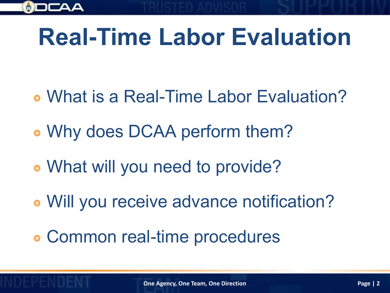

# **Real-Time Labor Evaluation**

- What is a Real-Time Labor Evaluation?
- Why does DCAA perform them?
- What will you need to provide?
- Will you receive advance notification?
- Common real-time procedures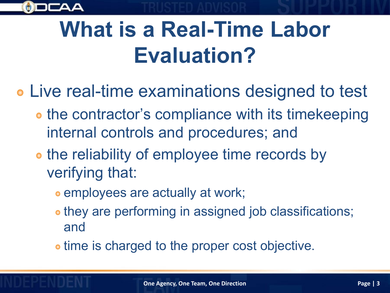

#### **What is a Real-Time Labor Evaluation?**

- Live real-time examinations designed to test
	- **the contractor's compliance with its timekeeping** internal controls and procedures; and
	- **the reliability of employee time records by** verifying that:
		- **employees are actually at work;**
		- they are performing in assigned job classifications; and
		- time is charged to the proper cost objective.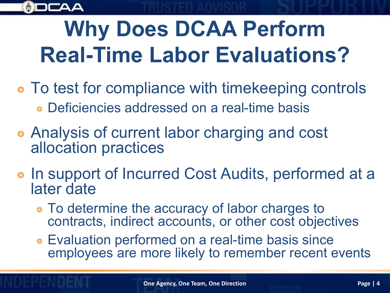

# **Why Does DCAA Perform Real-Time Labor Evaluations?**

- To test for compliance with timekeeping controls Deficiencies addressed on a real-time basis
- Analysis of current labor charging and cost allocation practices
- In support of Incurred Cost Audits, performed at a later date
	- To determine the accuracy of labor charges to contracts, indirect accounts, or other cost objectives
	- Evaluation performed on a real-time basis since employees are more likely to remember recent events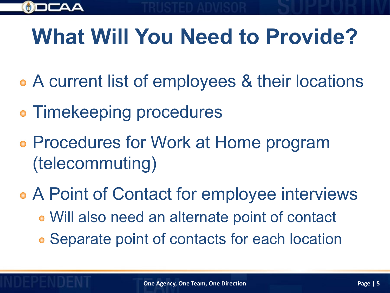

# **What Will You Need to Provide?**

- A current list of employees & their locations
- Timekeeping procedures
- Procedures for Work at Home program (telecommuting)
- A Point of Contact for employee interviews Will also need an alternate point of contact Separate point of contacts for each location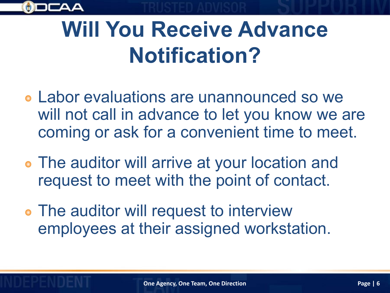

#### **Will You Receive Advance Notification?**

- Labor evaluations are unannounced so we will not call in advance to let you know we are coming or ask for a convenient time to meet.
- The auditor will arrive at your location and request to meet with the point of contact.
- The auditor will request to interview employees at their assigned workstation.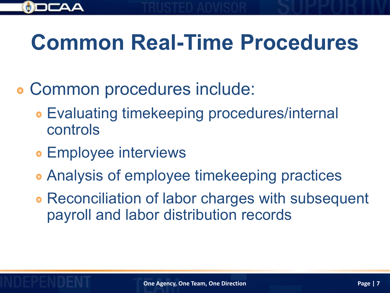

#### **Common Real-Time Procedures**

- Common procedures include:  $\bullet$ 
	- Evaluating timekeeping procedures/internal controls
	- **Employee interviews**
	- Analysis of employee timekeeping practices
	- Reconciliation of labor charges with subsequent payroll and labor distribution records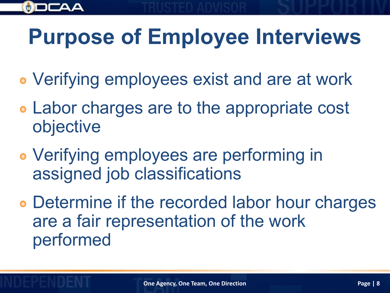

# **Purpose of Employee Interviews**

- Verifying employees exist and are at work
- Labor charges are to the appropriate cost objective
- Verifying employees are performing in assigned job classifications
- Determine if the recorded labor hour charges are a fair representation of the work performed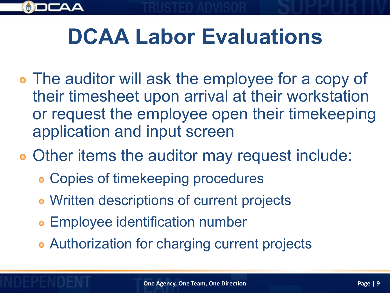

#### **DCAA Labor Evaluations**

- The auditor will ask the employee for a copy of their timesheet upon arrival at their workstation or request the employee open their timekeeping application and input screen
- Other items the auditor may request include:
	- Copies of timekeeping procedures
	- Written descriptions of current projects
	- **Employee identification number**
	- **Authorization for charging current projects**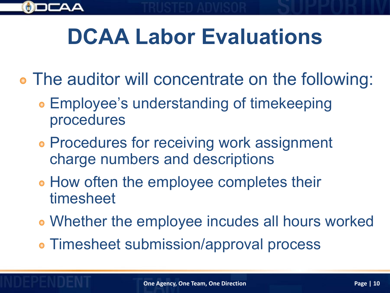

#### **DCAA Labor Evaluations**

- The auditor will concentrate on the following:
	- Employee's understanding of timekeeping procedures
	- **Procedures for receiving work assignment** charge numbers and descriptions
	- **How often the employee completes their** timesheet
	- Whether the employee incudes all hours worked
	- Timesheet submission/approval process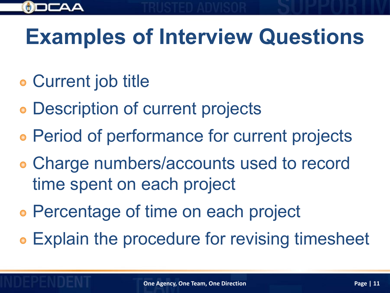

#### **Examples of Interview Questions**

- Current job title
- Description of current projects
- Period of performance for current projects
- Charge numbers/accounts used to record time spent on each project
- Percentage of time on each project
- **Explain the procedure for revising timesheet**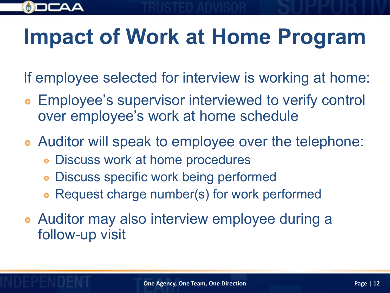

#### **Impact of Work at Home Program**

- If employee selected for interview is working at home:
- Employee's supervisor interviewed to verify control over employee's work at home schedule
- Auditor will speak to employee over the telephone:
	- Discuss work at home procedures
	- Discuss specific work being performed
	- Request charge number(s) for work performed
- Auditor may also interview employee during a follow-up visit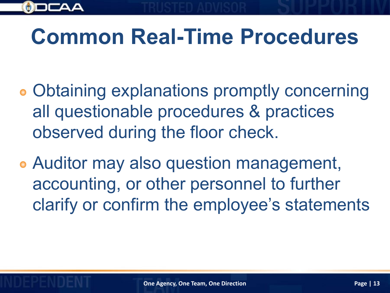

#### **Common Real-Time Procedures**

- Obtaining explanations promptly concerning all questionable procedures & practices observed during the floor check.
- Auditor may also question management, accounting, or other personnel to further clarify or confirm the employee's statements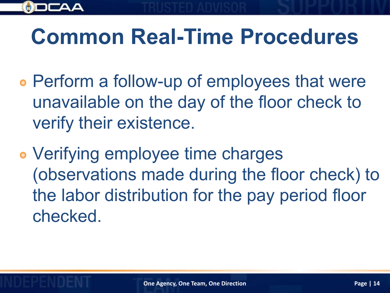

#### **Common Real-Time Procedures**

- Perform a follow-up of employees that were unavailable on the day of the floor check to verify their existence.
- Verifying employee time charges (observations made during the floor check) to the labor distribution for the pay period floor checked.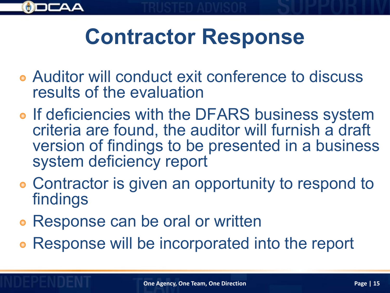

#### **Contractor Response**

- Auditor will conduct exit conference to discuss results of the evaluation
- o If deficiencies with the DFARS business system criteria are found, the auditor will furnish a draft version of findings to be presented in a business system deficiency report
- Contractor is given an opportunity to respond to findings
- Response can be oral or written
- Response will be incorporated into the report